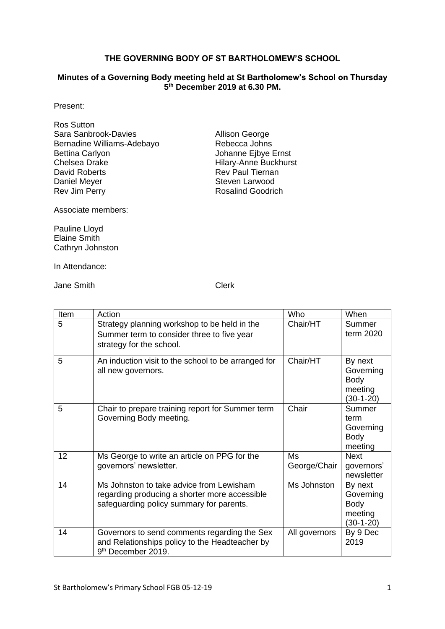### **THE GOVERNING BODY OF ST BARTHOLOMEW'S SCHOOL**

#### **Minutes of a Governing Body meeting held at St Bartholomew's School on Thursday 5 th December 2019 at 6.30 PM.**

Present:

| <b>Ros Sutton</b>          |  |
|----------------------------|--|
| Sara Sanbrook-Davies       |  |
| Bernadine Williams-Adebayo |  |
| <b>Bettina Carlyon</b>     |  |
| Chelsea Drake              |  |
| David Roberts              |  |
| Daniel Meyer               |  |
| <b>Rev Jim Perry</b>       |  |

Allison George Rebecca Johns Johanne Ejbye Ernst Hilary-Anne Buckhurst Rev Paul Tiernan Steven Larwood Rosalind Goodrich

Associate members:

Pauline Lloyd Elaine Smith Cathryn Johnston

In Attendance:

Jane Smith Clerk

| Item            | Action                                                                                                                                | Who                | When                                                          |
|-----------------|---------------------------------------------------------------------------------------------------------------------------------------|--------------------|---------------------------------------------------------------|
| 5               | Strategy planning workshop to be held in the<br>Summer term to consider three to five year<br>strategy for the school.                | Chair/HT           | Summer<br>term 2020                                           |
| 5               | An induction visit to the school to be arranged for<br>all new governors.                                                             | Chair/HT           | By next<br>Governing<br><b>Body</b><br>meeting<br>$(30-1-20)$ |
| 5               | Chair to prepare training report for Summer term<br>Governing Body meeting.                                                           | Chair              | Summer<br>term<br>Governing<br><b>Body</b><br>meeting         |
| 12 <sup>2</sup> | Ms George to write an article on PPG for the<br>governors' newsletter.                                                                | Ms<br>George/Chair | <b>Next</b><br>governors'<br>newsletter                       |
| 14              | Ms Johnston to take advice from Lewisham<br>regarding producing a shorter more accessible<br>safeguarding policy summary for parents. | Ms Johnston        | By next<br>Governing<br><b>Body</b><br>meeting<br>$(30-1-20)$ |
| 14              | Governors to send comments regarding the Sex<br>and Relationships policy to the Headteacher by<br>9 <sup>th</sup> December 2019.      | All governors      | By 9 Dec<br>2019                                              |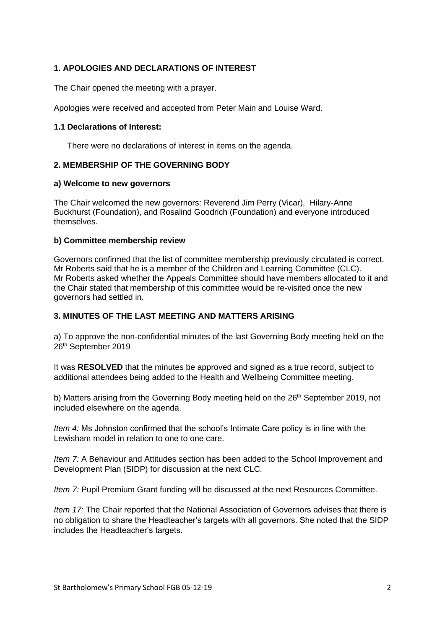## **1. APOLOGIES AND DECLARATIONS OF INTEREST**

The Chair opened the meeting with a prayer.

Apologies were received and accepted from Peter Main and Louise Ward.

### **1.1 Declarations of Interest:**

There were no declarations of interest in items on the agenda.

### **2. MEMBERSHIP OF THE GOVERNING BODY**

#### **a) Welcome to new governors**

The Chair welcomed the new governors: Reverend Jim Perry (Vicar), Hilary-Anne Buckhurst (Foundation), and Rosalind Goodrich (Foundation) and everyone introduced themselves.

### **b) Committee membership review**

Governors confirmed that the list of committee membership previously circulated is correct. Mr Roberts said that he is a member of the Children and Learning Committee (CLC). Mr Roberts asked whether the Appeals Committee should have members allocated to it and the Chair stated that membership of this committee would be re-visited once the new governors had settled in.

### **3. MINUTES OF THE LAST MEETING AND MATTERS ARISING**

a) To approve the non-confidential minutes of the last Governing Body meeting held on the 26<sup>th</sup> September 2019

It was **RESOLVED** that the minutes be approved and signed as a true record, subject to additional attendees being added to the Health and Wellbeing Committee meeting.

b) Matters arising from the Governing Body meeting held on the 26<sup>th</sup> September 2019, not included elsewhere on the agenda.

*Item 4:* Ms Johnston confirmed that the school's Intimate Care policy is in line with the Lewisham model in relation to one to one care.

*Item 7:* A Behaviour and Attitudes section has been added to the School Improvement and Development Plan (SIDP) for discussion at the next CLC.

*Item 7:* Pupil Premium Grant funding will be discussed at the next Resources Committee.

*Item 17:* The Chair reported that the National Association of Governors advises that there is no obligation to share the Headteacher's targets with all governors. She noted that the SIDP includes the Headteacher's targets.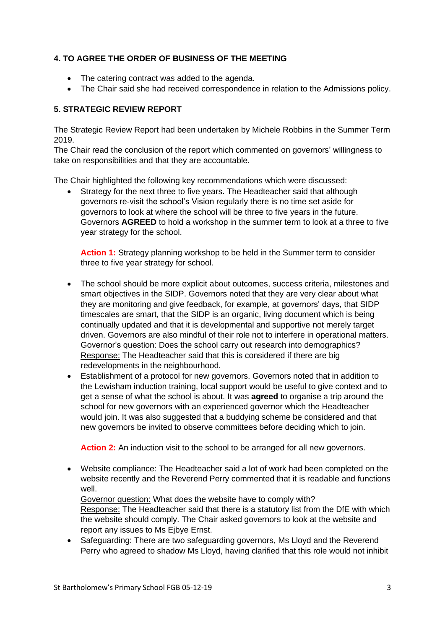## **4. TO AGREE THE ORDER OF BUSINESS OF THE MEETING**

- The catering contract was added to the agenda.
- The Chair said she had received correspondence in relation to the Admissions policy.

## **5. STRATEGIC REVIEW REPORT**

The Strategic Review Report had been undertaken by Michele Robbins in the Summer Term 2019.

The Chair read the conclusion of the report which commented on governors' willingness to take on responsibilities and that they are accountable.

The Chair highlighted the following key recommendations which were discussed:

Strategy for the next three to five years. The Headteacher said that although governors re-visit the school's Vision regularly there is no time set aside for governors to look at where the school will be three to five years in the future. Governors **AGREED** to hold a workshop in the summer term to look at a three to five year strategy for the school.

**Action 1:** Strategy planning workshop to be held in the Summer term to consider three to five year strategy for school.

- The school should be more explicit about outcomes, success criteria, milestones and smart objectives in the SIDP. Governors noted that they are very clear about what they are monitoring and give feedback, for example, at governors' days, that SIDP timescales are smart, that the SIDP is an organic, living document which is being continually updated and that it is developmental and supportive not merely target driven. Governors are also mindful of their role not to interfere in operational matters. Governor's question: Does the school carry out research into demographics? Response: The Headteacher said that this is considered if there are big redevelopments in the neighbourhood.
- Establishment of a protocol for new governors. Governors noted that in addition to the Lewisham induction training, local support would be useful to give context and to get a sense of what the school is about. It was **agreed** to organise a trip around the school for new governors with an experienced governor which the Headteacher would join. It was also suggested that a buddying scheme be considered and that new governors be invited to observe committees before deciding which to join.

**Action 2:** An induction visit to the school to be arranged for all new governors.

• Website compliance: The Headteacher said a lot of work had been completed on the website recently and the Reverend Perry commented that it is readable and functions well.

Governor question: What does the website have to comply with? Response: The Headteacher said that there is a statutory list from the DfE with which the website should comply. The Chair asked governors to look at the website and report any issues to Ms Ejbye Ernst.

• Safeguarding: There are two safeguarding governors, Ms Lloyd and the Reverend Perry who agreed to shadow Ms Lloyd, having clarified that this role would not inhibit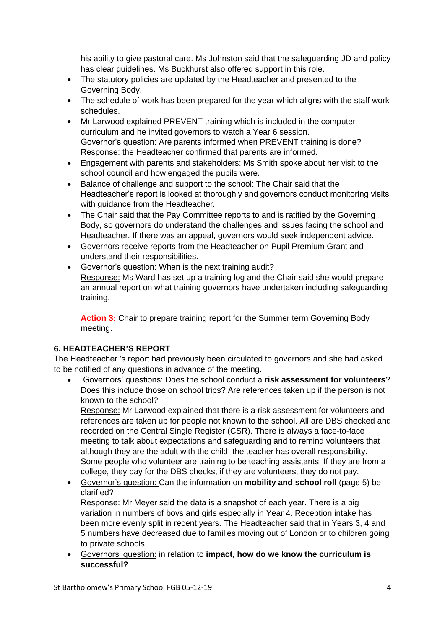his ability to give pastoral care. Ms Johnston said that the safeguarding JD and policy has clear guidelines. Ms Buckhurst also offered support in this role.

- The statutory policies are updated by the Headteacher and presented to the Governing Body.
- The schedule of work has been prepared for the year which aligns with the staff work schedules.
- Mr Larwood explained PREVENT training which is included in the computer curriculum and he invited governors to watch a Year 6 session. Governor's question: Are parents informed when PREVENT training is done? Response: the Headteacher confirmed that parents are informed.
- Engagement with parents and stakeholders: Ms Smith spoke about her visit to the school council and how engaged the pupils were.
- Balance of challenge and support to the school: The Chair said that the Headteacher's report is looked at thoroughly and governors conduct monitoring visits with guidance from the Headteacher.
- The Chair said that the Pay Committee reports to and is ratified by the Governing Body, so governors do understand the challenges and issues facing the school and Headteacher. If there was an appeal, governors would seek independent advice.
- Governors receive reports from the Headteacher on Pupil Premium Grant and understand their responsibilities.
- Governor's question: When is the next training audit? Response: Ms Ward has set up a training log and the Chair said she would prepare an annual report on what training governors have undertaken including safeguarding training.

**Action 3:** Chair to prepare training report for the Summer term Governing Body meeting.

# **6. HEADTEACHER'S REPORT**

The Headteacher 's report had previously been circulated to governors and she had asked to be notified of any questions in advance of the meeting.

• Governors' questions: Does the school conduct a **risk assessment for volunteers**? Does this include those on school trips? Are references taken up if the person is not known to the school?

Response: Mr Larwood explained that there is a risk assessment for volunteers and references are taken up for people not known to the school. All are DBS checked and recorded on the Central Single Register (CSR). There is always a face-to-face meeting to talk about expectations and safeguarding and to remind volunteers that although they are the adult with the child, the teacher has overall responsibility. Some people who volunteer are training to be teaching assistants. If they are from a college, they pay for the DBS checks, if they are volunteers, they do not pay.

• Governor's question: Can the information on **mobility and school roll** (page 5) be clarified?

Response: Mr Meyer said the data is a snapshot of each year. There is a big variation in numbers of boys and girls especially in Year 4. Reception intake has been more evenly split in recent years. The Headteacher said that in Years 3, 4 and 5 numbers have decreased due to families moving out of London or to children going to private schools.

• Governors' question: in relation to **impact, how do we know the curriculum is successful?**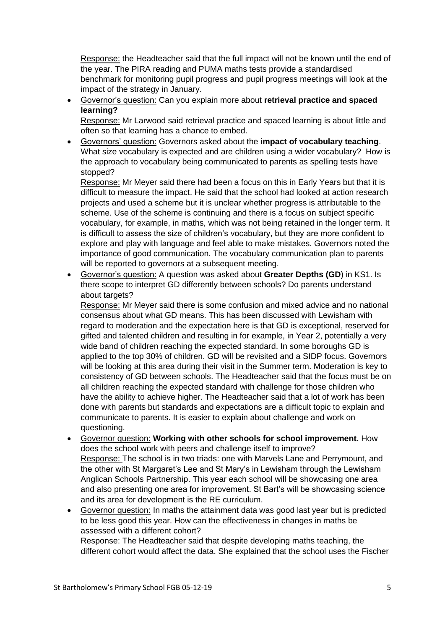Response: the Headteacher said that the full impact will not be known until the end of the year. The PIRA reading and PUMA maths tests provide a standardised benchmark for monitoring pupil progress and pupil progress meetings will look at the impact of the strategy in January.

# • Governor's question: Can you explain more about **retrieval practice and spaced learning?**

Response: Mr Larwood said retrieval practice and spaced learning is about little and often so that learning has a chance to embed.

• Governors' question: Governors asked about the **impact of vocabulary teaching**. What size vocabulary is expected and are children using a wider vocabulary? How is the approach to vocabulary being communicated to parents as spelling tests have stopped?

Response: Mr Meyer said there had been a focus on this in Early Years but that it is difficult to measure the impact. He said that the school had looked at action research projects and used a scheme but it is unclear whether progress is attributable to the scheme. Use of the scheme is continuing and there is a focus on subject specific vocabulary, for example, in maths, which was not being retained in the longer term. It is difficult to assess the size of children's vocabulary, but they are more confident to explore and play with language and feel able to make mistakes. Governors noted the importance of good communication. The vocabulary communication plan to parents will be reported to governors at a subsequent meeting.

• Governor's question: A question was asked about **Greater Depths (GD**) in KS1. Is there scope to interpret GD differently between schools? Do parents understand about targets?

Response: Mr Meyer said there is some confusion and mixed advice and no national consensus about what GD means. This has been discussed with Lewisham with regard to moderation and the expectation here is that GD is exceptional, reserved for gifted and talented children and resulting in for example, in Year 2, potentially a very wide band of children reaching the expected standard. In some boroughs GD is applied to the top 30% of children. GD will be revisited and a SIDP focus. Governors will be looking at this area during their visit in the Summer term. Moderation is key to consistency of GD between schools. The Headteacher said that the focus must be on all children reaching the expected standard with challenge for those children who have the ability to achieve higher. The Headteacher said that a lot of work has been done with parents but standards and expectations are a difficult topic to explain and communicate to parents. It is easier to explain about challenge and work on questioning.

- Governor question: **Working with other schools for school improvement.** How does the school work with peers and challenge itself to improve? Response: The school is in two triads: one with Marvels Lane and Perrymount, and the other with St Margaret's Lee and St Mary's in Lewisham through the Lewisham Anglican Schools Partnership. This year each school will be showcasing one area and also presenting one area for improvement. St Bart's will be showcasing science and its area for development is the RE curriculum.
- Governor question: In maths the attainment data was good last year but is predicted to be less good this year. How can the effectiveness in changes in maths be assessed with a different cohort?

Response: The Headteacher said that despite developing maths teaching, the different cohort would affect the data. She explained that the school uses the Fischer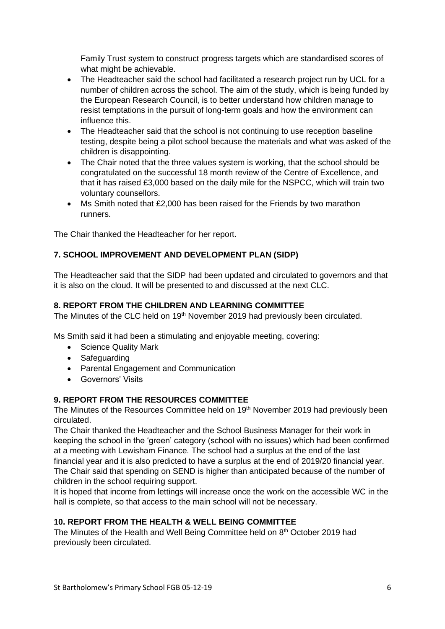Family Trust system to construct progress targets which are standardised scores of what might be achievable.

- The Headteacher said the school had facilitated a research project run by UCL for a number of children across the school. The aim of the study, which is being funded by the European Research Council, is to better understand how children manage to resist temptations in the pursuit of long-term goals and how the environment can influence this.
- The Headteacher said that the school is not continuing to use reception baseline testing, despite being a pilot school because the materials and what was asked of the children is disappointing.
- The Chair noted that the three values system is working, that the school should be congratulated on the successful 18 month review of the Centre of Excellence, and that it has raised £3,000 based on the daily mile for the NSPCC, which will train two voluntary counsellors.
- Ms Smith noted that £2,000 has been raised for the Friends by two marathon runners.

The Chair thanked the Headteacher for her report.

# **7. SCHOOL IMPROVEMENT AND DEVELOPMENT PLAN (SIDP)**

The Headteacher said that the SIDP had been updated and circulated to governors and that it is also on the cloud. It will be presented to and discussed at the next CLC.

### **8. REPORT FROM THE CHILDREN AND LEARNING COMMITTEE**

The Minutes of the CLC held on 19<sup>th</sup> November 2019 had previously been circulated.

Ms Smith said it had been a stimulating and enjoyable meeting, covering:

- Science Quality Mark
- Safeguarding
- Parental Engagement and Communication
- Governors' Visits

### **9. REPORT FROM THE RESOURCES COMMITTEE**

The Minutes of the Resources Committee held on 19<sup>th</sup> November 2019 had previously been circulated.

The Chair thanked the Headteacher and the School Business Manager for their work in keeping the school in the 'green' category (school with no issues) which had been confirmed at a meeting with Lewisham Finance. The school had a surplus at the end of the last financial year and it is also predicted to have a surplus at the end of 2019/20 financial year. The Chair said that spending on SEND is higher than anticipated because of the number of children in the school requiring support.

It is hoped that income from lettings will increase once the work on the accessible WC in the hall is complete, so that access to the main school will not be necessary.

## **10. REPORT FROM THE HEALTH & WELL BEING COMMITTEE**

The Minutes of the Health and Well Being Committee held on 8<sup>th</sup> October 2019 had previously been circulated.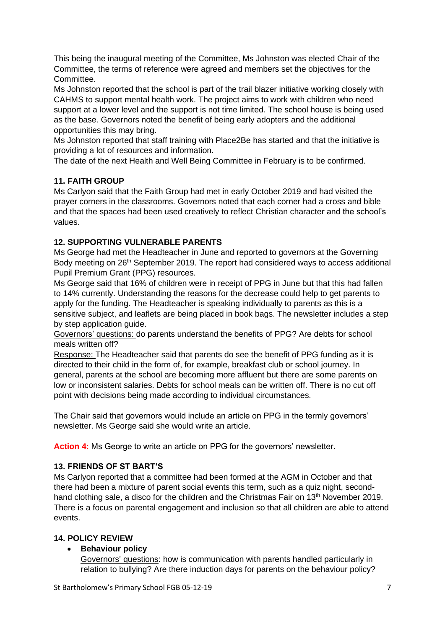This being the inaugural meeting of the Committee, Ms Johnston was elected Chair of the Committee, the terms of reference were agreed and members set the objectives for the Committee.

Ms Johnston reported that the school is part of the trail blazer initiative working closely with CAHMS to support mental health work. The project aims to work with children who need support at a lower level and the support is not time limited. The school house is being used as the base. Governors noted the benefit of being early adopters and the additional opportunities this may bring.

Ms Johnston reported that staff training with Place2Be has started and that the initiative is providing a lot of resources and information.

The date of the next Health and Well Being Committee in February is to be confirmed.

# **11. FAITH GROUP**

Ms Carlyon said that the Faith Group had met in early October 2019 and had visited the prayer corners in the classrooms. Governors noted that each corner had a cross and bible and that the spaces had been used creatively to reflect Christian character and the school's values.

# **12. SUPPORTING VULNERABLE PARENTS**

Ms George had met the Headteacher in June and reported to governors at the Governing Body meeting on 26<sup>th</sup> September 2019. The report had considered ways to access additional Pupil Premium Grant (PPG) resources.

Ms George said that 16% of children were in receipt of PPG in June but that this had fallen to 14% currently. Understanding the reasons for the decrease could help to get parents to apply for the funding. The Headteacher is speaking individually to parents as this is a sensitive subject, and leaflets are being placed in book bags. The newsletter includes a step by step application guide.

Governors' questions: do parents understand the benefits of PPG? Are debts for school meals written off?

Response: The Headteacher said that parents do see the benefit of PPG funding as it is directed to their child in the form of, for example, breakfast club or school journey. In general, parents at the school are becoming more affluent but there are some parents on low or inconsistent salaries. Debts for school meals can be written off. There is no cut off point with decisions being made according to individual circumstances.

The Chair said that governors would include an article on PPG in the termly governors' newsletter. Ms George said she would write an article.

**Action 4:** Ms George to write an article on PPG for the governors' newsletter.

# **13. FRIENDS OF ST BART'S**

Ms Carlyon reported that a committee had been formed at the AGM in October and that there had been a mixture of parent social events this term, such as a quiz night, secondhand clothing sale, a disco for the children and the Christmas Fair on 13<sup>th</sup> November 2019. There is a focus on parental engagement and inclusion so that all children are able to attend events.

# **14. POLICY REVIEW**

# • **Behaviour policy**

Governors' questions: how is communication with parents handled particularly in relation to bullying? Are there induction days for parents on the behaviour policy?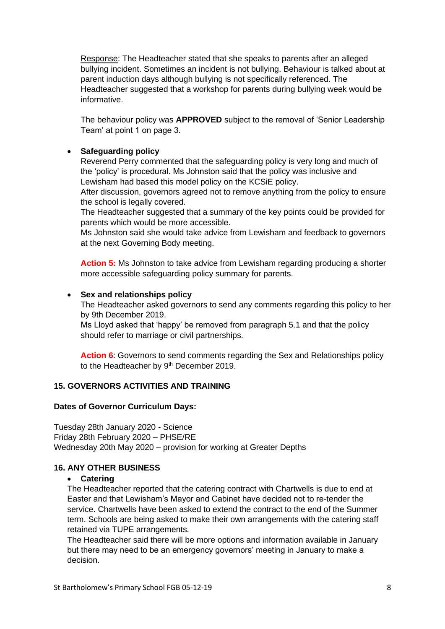Response: The Headteacher stated that she speaks to parents after an alleged bullying incident. Sometimes an incident is not bullying. Behaviour is talked about at parent induction days although bullying is not specifically referenced. The Headteacher suggested that a workshop for parents during bullying week would be informative.

The behaviour policy was **APPROVED** subject to the removal of 'Senior Leadership Team' at point 1 on page 3.

### • **Safeguarding policy**

Reverend Perry commented that the safeguarding policy is very long and much of the 'policy' is procedural. Ms Johnston said that the policy was inclusive and Lewisham had based this model policy on the KCSiE policy.

After discussion, governors agreed not to remove anything from the policy to ensure the school is legally covered.

The Headteacher suggested that a summary of the key points could be provided for parents which would be more accessible.

Ms Johnston said she would take advice from Lewisham and feedback to governors at the next Governing Body meeting.

**Action 5:** Ms Johnston to take advice from Lewisham regarding producing a shorter more accessible safeguarding policy summary for parents.

### • **Sex and relationships policy**

The Headteacher asked governors to send any comments regarding this policy to her by 9th December 2019.

Ms Lloyd asked that 'happy' be removed from paragraph 5.1 and that the policy should refer to marriage or civil partnerships.

**Action 6**: Governors to send comments regarding the Sex and Relationships policy to the Headteacher by 9<sup>th</sup> December 2019.

### **15. GOVERNORS ACTIVITIES AND TRAINING**

### **Dates of Governor Curriculum Days:**

Tuesday 28th January 2020 - Science Friday 28th February 2020 – PHSE/RE Wednesday 20th May 2020 – provision for working at Greater Depths

### **16. ANY OTHER BUSINESS**

### • **Catering**

The Headteacher reported that the catering contract with Chartwells is due to end at Easter and that Lewisham's Mayor and Cabinet have decided not to re-tender the service. Chartwells have been asked to extend the contract to the end of the Summer term. Schools are being asked to make their own arrangements with the catering staff retained via TUPE arrangements.

The Headteacher said there will be more options and information available in January but there may need to be an emergency governors' meeting in January to make a decision.